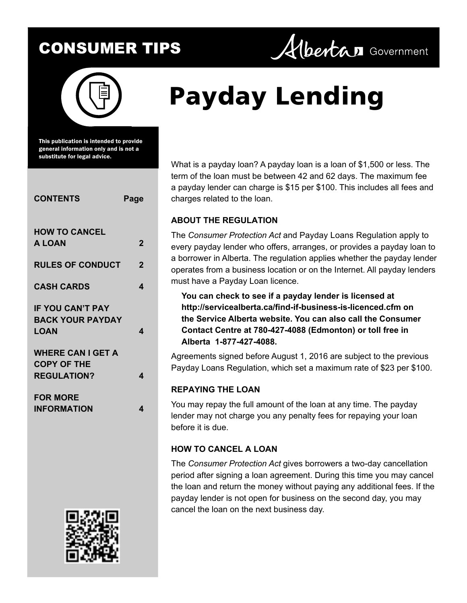

This publication is intended to provide general information only and is not a substitute for legal advice.

| <b>CONTENTS</b>                                                      | Page |
|----------------------------------------------------------------------|------|
| <b>HOW TO CANCEL</b><br><b>A LOAN</b>                                | 2    |
| <b>RULES OF CONDUCT</b>                                              | 2    |
| <b>CASH CARDS</b>                                                    | 4    |
| <b>IF YOU CAN'T PAY</b><br><b>BACK YOUR PAYDAY</b><br>LOAN           | 4    |
| <b>WHERE CAN I GET A</b><br><b>COPY OF THE</b><br><b>REGULATION?</b> | 4    |
| <b>FOR MORE</b><br><b>INFORMATION</b>                                | 4    |



# **Payday Lending**

What is a payday loan? A payday loan is a loan of \$1,500 or less. The term of the loan must be between 42 and 62 days. The maximum fee a payday lender can charge is \$15 per \$100. This includes all fees and charges related to the loan.

Albertan Government

## **ABOUT THE REGULATION**

The *Consumer Protection Act* and Payday Loans Regulation apply to every payday lender who offers, arranges, or provides a payday loan to a borrower in Alberta. The regulation applies whether the payday lender operates from a business location or on the Internet. All payday lenders must have a Payday Loan licence.

**You can check to see if a payday lender is licensed at <http://servicealberta.ca/find-if-business-is-licenced.cfm> on the Service Alberta website. You can also call the Consumer Contact Centre at 780-427-4088 (Edmonton) or toll free in Alberta 1-877-427-4088.**

Agreements signed before August 1, 2016 are subject to the previous Payday Loans Regulation, which set a maximum rate of \$23 per \$100.

## **REPAYING THE LOAN**

You may repay the full amount of the loan at any time. The payday lender may not charge you any penalty fees for repaying your loan before it is due.

## **HOW TO CANCEL A LOAN**

The *Consumer Protection Act* gives borrowers a two-day cancellation period after signing a loan agreement. During this time you may cancel the loan and return the money without paying any additional fees. If the payday lender is not open for business on the second day, you may cancel the loan on the next business day.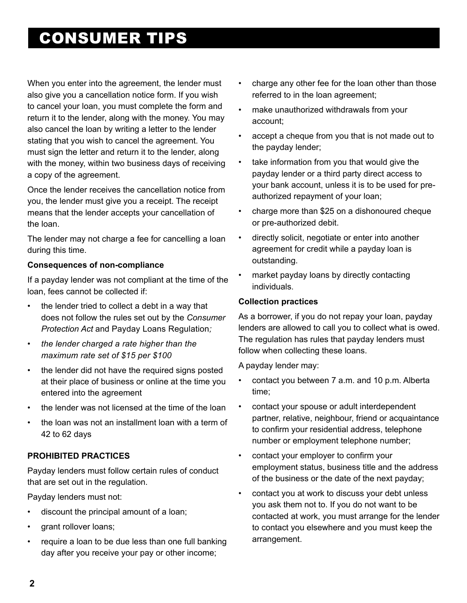<span id="page-1-0"></span>When you enter into the agreement, the lender must also give you a cancellation notice form. If you wish to cancel your loan, you must complete the form and return it to the lender, along with the money. You may also cancel the loan by writing a letter to the lender stating that you wish to cancel the agreement. You must sign the letter and return it to the lender, along with the money, within two business days of receiving a copy of the agreement.

Once the lender receives the cancellation notice from you, the lender must give you a receipt. The receipt means that the lender accepts your cancellation of the loan.

The lender may not charge a fee for cancelling a loan during this time.

#### **Consequences of non-compliance**

If a payday lender was not compliant at the time of the loan, fees cannot be collected if:

- the lender tried to collect a debt in a way that does not follow the rules set out by the *Consumer Protection Act* and Payday Loans Regulation*;*
- the lender charged a rate higher than the *maximum rate set of \$15 per \$100*
- the lender did not have the required signs posted at their place of business or online at the time you entered into the agreement
- the lender was not licensed at the time of the loan
- the loan was not an installment loan with a term of 42 to 62 days

#### **PROHIBITED PRACTICES**

Payday lenders must follow certain rules of conduct that are set out in the regulation.

Payday lenders must not:

- discount the principal amount of a loan;
- grant rollover loans;
- require a loan to be due less than one full banking day after you receive your pay or other income;
- charge any other fee for the loan other than those referred to in the loan agreement;
- make unauthorized withdrawals from your account;
- accept a cheque from you that is not made out to the payday lender;
- take information from you that would give the payday lender or a third party direct access to your bank account, unless it is to be used for preauthorized repayment of your loan;
- charge more than \$25 on a dishonoured cheque or pre-authorized debit.
- directly solicit, negotiate or enter into another agreement for credit while a payday loan is outstanding.
- market payday loans by directly contacting individuals.

#### **Collection practices**

As a borrower, if you do not repay your loan, payday lenders are allowed to call you to collect what is owed. The regulation has rules that payday lenders must follow when collecting these loans.

A payday lender may:

- contact you between 7 a.m. and 10 p.m. Alberta time;
- contact your spouse or adult interdependent partner, relative, neighbour, friend or acquaintance to confirm your residential address, telephone number or employment telephone number;
- contact your employer to confirm your employment status, business title and the address of the business or the date of the next payday;
- contact you at work to discuss your debt unless you ask them not to. If you do not want to be contacted at work, you must arrange for the lender to contact you elsewhere and you must keep the arrangement.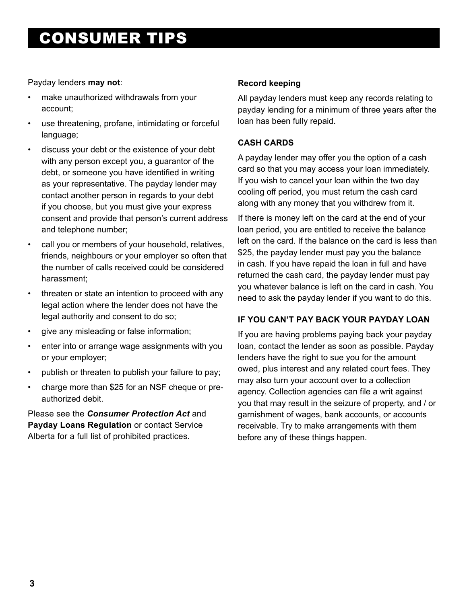#### Payday lenders **may not**:

- make unauthorized withdrawals from your account;
- use threatening, profane, intimidating or forceful language;
- discuss your debt or the existence of your debt with any person except you, a guarantor of the debt, or someone you have identified in writing as your representative. The payday lender may contact another person in regards to your debt if you choose, but you must give your express consent and provide that person's current address and telephone number;
- call you or members of your household, relatives, friends, neighbours or your employer so often that the number of calls received could be considered harassment;
- threaten or state an intention to proceed with any legal action where the lender does not have the legal authority and consent to do so;
- give any misleading or false information;
- enter into or arrange wage assignments with you or your employer;
- publish or threaten to publish your failure to pay;
- charge more than \$25 for an NSF cheque or preauthorized debit.

Please see the *Consumer Protection Act* and **Payday Loans Regulation** or contact Service Alberta for a full list of prohibited practices.

### **Record keeping**

All payday lenders must keep any records relating to payday lending for a minimum of three years after the loan has been fully repaid.

## **CASH CARDS**

A payday lender may offer you the option of a cash card so that you may access your loan immediately. If you wish to cancel your loan within the two day cooling off period, you must return the cash card along with any money that you withdrew from it.

If there is money left on the card at the end of your loan period, you are entitled to receive the balance left on the card. If the balance on the card is less than \$25, the payday lender must pay you the balance in cash. If you have repaid the loan in full and have returned the cash card, the payday lender must pay you whatever balance is left on the card in cash. You need to ask the payday lender if you want to do this.

#### **IF YOU CAN'T PAY BACK YOUR PAYDAY LOAN**

If you are having problems paying back your payday loan, contact the lender as soon as possible. Payday lenders have the right to sue you for the amount owed, plus interest and any related court fees. They may also turn your account over to a collection agency. Collection agencies can file a writ against you that may result in the seizure of property, and / or garnishment of wages, bank accounts, or accounts receivable. Try to make arrangements with them before any of these things happen.